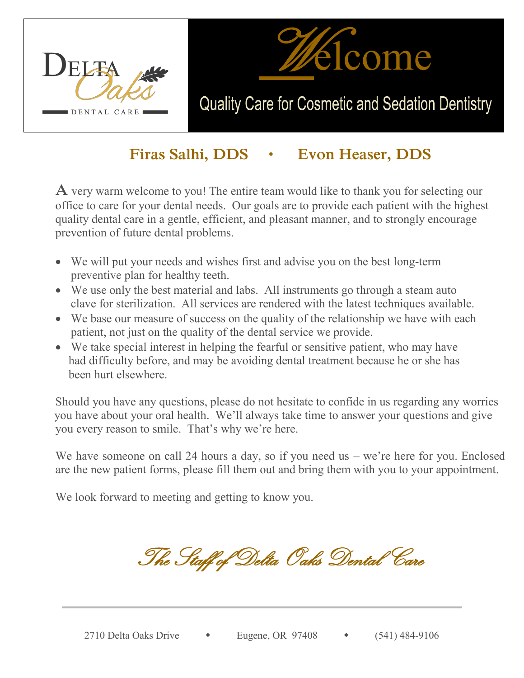



## Quality Care for Cosmetic and Sedation Dentistry

### **Firas Salhi, DDS • Evon Heaser, DDS**

**A** very warm welcome to you! The entire team would like to thank you for selecting our office to care for your dental needs. Our goals are to provide each patient with the highest quality dental care in a gentle, efficient, and pleasant manner, and to strongly encourage prevention of future dental problems.

- We will put your needs and wishes first and advise you on the best long-term preventive plan for healthy teeth.
- We use only the best material and labs. All instruments go through a steam auto clave for sterilization. All services are rendered with the latest techniques available.
- We base our measure of success on the quality of the relationship we have with each patient, not just on the quality of the dental service we provide.
- $\bullet$  We take special interest in helping the fearful or sensitive patient, who may have had difficulty before, and may be avoiding dental treatment because he or she has been hurt elsewhere.

 Should you have any questions, please do not hesitate to confide in us regarding any worries you have about your oral health. We'll always take time to answer your questions and give you every reason to smile. That's why we're here.

We have someone on call 24 hours a day, so if you need us – we're here for you. Enclosed are the new patient forms, please fill them out and bring them with you to your appointment.

We look forward to meeting and getting to know you.

The Staff of Delta Oaks Dental Care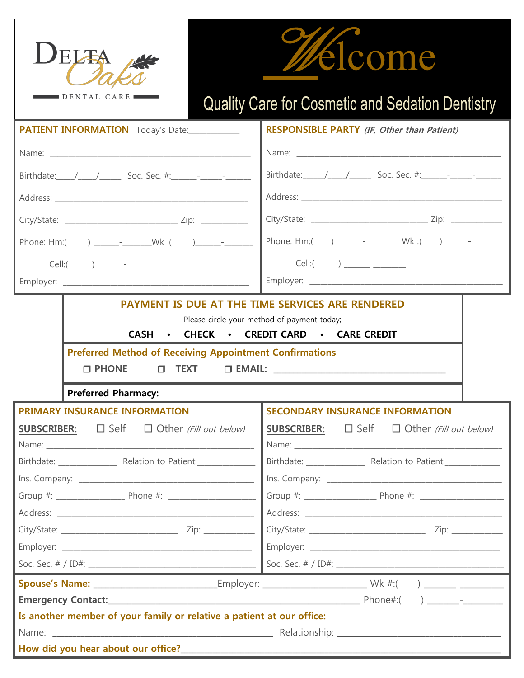



# Quality Care for Cosmetic and Sedation Dentistry

| PATIENT INFORMATION Today's Date:                                                                                                                                                                                                      | <b>RESPONSIBLE PARTY (IF, Other than Patient)</b>                     |  |  |  |  |  |  |
|----------------------------------------------------------------------------------------------------------------------------------------------------------------------------------------------------------------------------------------|-----------------------------------------------------------------------|--|--|--|--|--|--|
|                                                                                                                                                                                                                                        |                                                                       |  |  |  |  |  |  |
| Birthdate: $/$ / Soc. Sec. #: $-$                                                                                                                                                                                                      |                                                                       |  |  |  |  |  |  |
|                                                                                                                                                                                                                                        |                                                                       |  |  |  |  |  |  |
|                                                                                                                                                                                                                                        |                                                                       |  |  |  |  |  |  |
|                                                                                                                                                                                                                                        |                                                                       |  |  |  |  |  |  |
|                                                                                                                                                                                                                                        |                                                                       |  |  |  |  |  |  |
|                                                                                                                                                                                                                                        |                                                                       |  |  |  |  |  |  |
|                                                                                                                                                                                                                                        | PAYMENT IS DUE AT THE TIME SERVICES ARE RENDERED                      |  |  |  |  |  |  |
|                                                                                                                                                                                                                                        | Please circle your method of payment today;                           |  |  |  |  |  |  |
|                                                                                                                                                                                                                                        | CASH • CHECK • CREDIT CARD • CARE CREDIT                              |  |  |  |  |  |  |
| <b>Preferred Method of Receiving Appointment Confirmations</b>                                                                                                                                                                         |                                                                       |  |  |  |  |  |  |
| $\square$ PHONE                                                                                                                                                                                                                        |                                                                       |  |  |  |  |  |  |
| <b>Preferred Pharmacy:</b>                                                                                                                                                                                                             |                                                                       |  |  |  |  |  |  |
| PRIMARY INSURANCE INFORMATION                                                                                                                                                                                                          | <b>SECONDARY INSURANCE INFORMATION</b>                                |  |  |  |  |  |  |
| <b>SUBSCRIBER:</b> $\Box$ Self $\Box$ Other (Fill out below)                                                                                                                                                                           | <b>SUBSCRIBER:</b> $\Box$ Self $\Box$ Other (Fill out below)          |  |  |  |  |  |  |
|                                                                                                                                                                                                                                        |                                                                       |  |  |  |  |  |  |
|                                                                                                                                                                                                                                        |                                                                       |  |  |  |  |  |  |
|                                                                                                                                                                                                                                        |                                                                       |  |  |  |  |  |  |
|                                                                                                                                                                                                                                        |                                                                       |  |  |  |  |  |  |
|                                                                                                                                                                                                                                        |                                                                       |  |  |  |  |  |  |
|                                                                                                                                                                                                                                        |                                                                       |  |  |  |  |  |  |
|                                                                                                                                                                                                                                        |                                                                       |  |  |  |  |  |  |
|                                                                                                                                                                                                                                        |                                                                       |  |  |  |  |  |  |
|                                                                                                                                                                                                                                        |                                                                       |  |  |  |  |  |  |
|                                                                                                                                                                                                                                        |                                                                       |  |  |  |  |  |  |
|                                                                                                                                                                                                                                        | Is another member of your family or relative a patient at our office: |  |  |  |  |  |  |
|                                                                                                                                                                                                                                        |                                                                       |  |  |  |  |  |  |
| How did you hear about our office?<br><u> Letting and the contract of the contract of the contract of the contract of the contract of the contract of the contract of the contract of the contract of the contract of the contract</u> |                                                                       |  |  |  |  |  |  |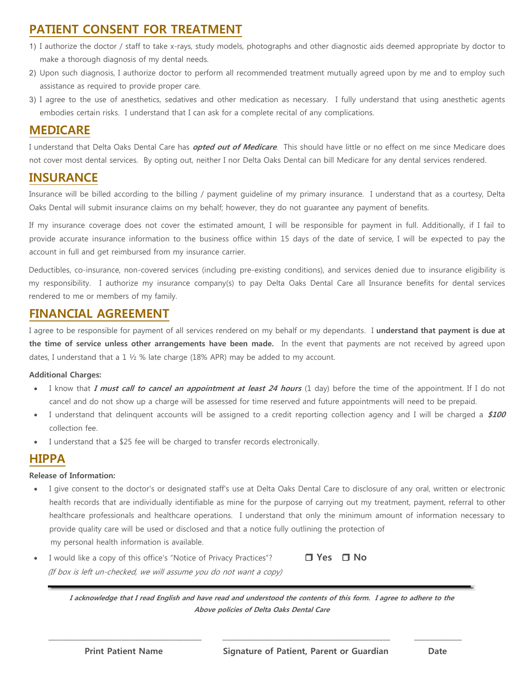#### **PATIENT CONSENT FOR TREATMENT**

- 1) I authorize the doctor / staff to take x-rays, study models, photographs and other diagnostic aids deemed appropriate by doctor to make a thorough diagnosis of my dental needs.
- 2) Upon such diagnosis, I authorize doctor to perform all recommended treatment mutually agreed upon by me and to employ such assistance as required to provide proper care.
- 3) I agree to the use of anesthetics, sedatives and other medication as necessary. I fully understand that using anesthetic agents embodies certain risks. I understand that I can ask for a complete recital of any complications.

#### **MEDICARE**

I understand that Delta Oaks Dental Care has **opted out of Medicare**. This should have little or no effect on me since Medicare does not cover most dental services. By opting out, neither I nor Delta Oaks Dental can bill Medicare for any dental services rendered.

#### **INSURANCE**

Insurance will be billed according to the billing / payment guideline of my primary insurance. I understand that as a courtesy, Delta Oaks Dental will submit insurance claims on my behalf; however, they do not guarantee any payment of benefits.

If my insurance coverage does not cover the estimated amount, I will be responsible for payment in full. Additionally, if I fail to provide accurate insurance information to the business office within 15 days of the date of service, I will be expected to pay the account in full and get reimbursed from my insurance carrier.

Deductibles, co-insurance, non-covered services (including pre-existing conditions), and services denied due to insurance eligibility is my responsibility. I authorize my insurance company(s) to pay Delta Oaks Dental Care all Insurance benefits for dental services rendered to me or members of my family.

#### **FINANCIAL AGREEMENT**

I agree to be responsible for payment of all services rendered on my behalf or my dependants. I **understand that payment is due at the time of service unless other arrangements have been made.** In the event that payments are not received by agreed upon dates, I understand that a 1 ½ % late charge (18% APR) may be added to my account.

#### **Additional Charges:**

- x I know that **I must call to cancel an appointment at least 24 hours** (1 day) before the time of the appointment. If I do not cancel and do not show up a charge will be assessed for time reserved and future appointments will need to be prepaid.
- I understand that delinquent accounts will be assigned to a credit reporting collection agency and I will be charged a \$100 collection fee.
- I understand that a \$25 fee will be charged to transfer records electronically.

#### **HIPPA**

#### **Release of Information:**

- I give consent to the doctor's or designated staff's use at Delta Oaks Dental Care to disclosure of any oral, written or electronic health records that are individually identifiable as mine for the purpose of carrying out my treatment, payment, referral to other healthcare professionals and healthcare operations. I understand that only the minimum amount of information necessary to provide quality care will be used or disclosed and that a notice fully outlining the protection of my personal health information is available.
- I would like a copy of this office's "Notice of Privacy Practices"? **□ Yes □ No** (If box is left un-checked, we will assume you do not want a copy)

**I acknowledge that I read English and have read and understood the contents of this form. I agree to adhere to the Above policies of Delta Oaks Dental Care**

 **\_\_\_\_\_\_\_\_\_\_\_\_\_\_\_\_\_\_\_\_\_\_\_\_\_\_\_\_\_\_\_\_\_\_\_\_\_\_\_\_\_\_ \_\_\_\_\_\_\_\_\_\_\_\_\_\_\_\_\_\_\_\_\_\_\_\_\_\_\_\_\_\_\_\_\_\_\_\_\_\_\_\_\_\_\_\_\_\_ \_\_\_\_\_\_\_\_\_\_\_\_\_**